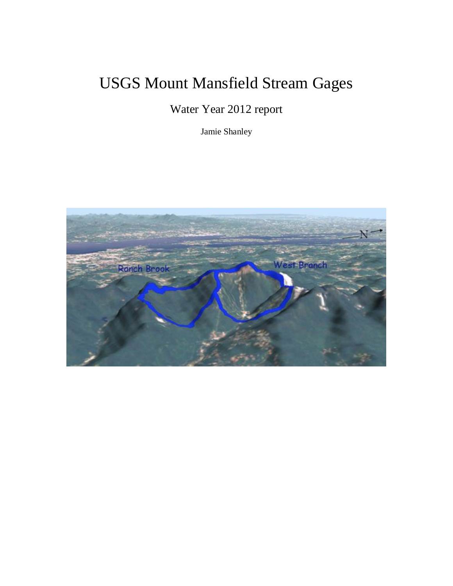## USGS Mount Mansfield Stream Gages

Water Year 2012 report

Jamie Shanley

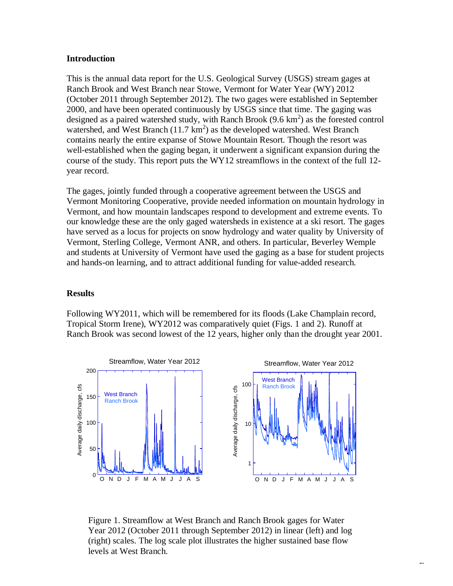## **Introduction**

This is the annual data report for the U.S. Geological Survey (USGS) stream gages at Ranch Brook and West Branch near Stowe, Vermont for Water Year (WY) 2012 (October 2011 through September 2012). The two gages were established in September 2000, and have been operated continuously by USGS since that time. The gaging was designed as a paired watershed study, with Ranch Brook  $(9.6 \text{ km}^2)$  as the forested control watershed, and West Branch  $(11.7 \text{ km}^2)$  as the developed watershed. West Branch contains nearly the entire expanse of Stowe Mountain Resort. Though the resort was well-established when the gaging began, it underwent a significant expansion during the course of the study. This report puts the WY12 streamflows in the context of the full 12 year record.

The gages, jointly funded through a cooperative agreement between the USGS and Vermont Monitoring Cooperative, provide needed information on mountain hydrology in Vermont, and how mountain landscapes respond to development and extreme events. To our knowledge these are the only gaged watersheds in existence at a ski resort. The gages have served as a locus for projects on snow hydrology and water quality by University of Vermont, Sterling College, Vermont ANR, and others. In particular, Beverley Wemple and students at University of Vermont have used the gaging as a base for student projects and hands-on learning, and to attract additional funding for value-added research.

## **Results**

Following WY2011, which will be remembered for its floods (Lake Champlain record, Tropical Storm Irene), WY2012 was comparatively quiet (Figs. 1 and 2). Runoff at Ranch Brook was second lowest of the 12 years, higher only than the drought year 2001.



Figure 1. Streamflow at West Branch and Ranch Brook gages for Water Year 2012 (October 2011 through September 2012) in linear (left) and log (right) scales. The log scale plot illustrates the higher sustained base flow levels at West Branch.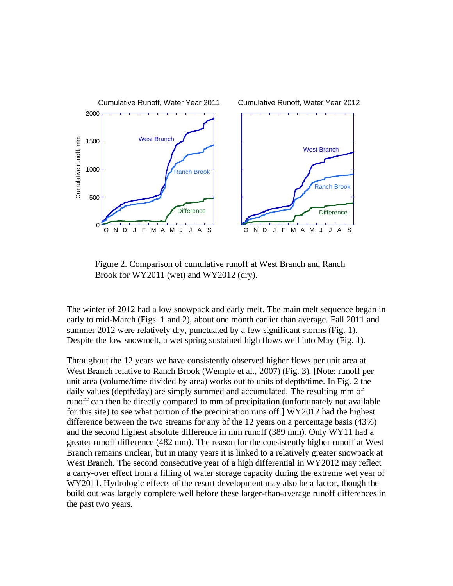

Figure 2. Comparison of cumulative runoff at West Branch and Ranch Brook for WY2011 (wet) and WY2012 (dry).

The winter of 2012 had a low snowpack and early melt. The main melt sequence began in early to mid-March (Figs. 1 and 2), about one month earlier than average. Fall 2011 and summer 2012 were relatively dry, punctuated by a few significant storms (Fig. 1). Despite the low snowmelt, a wet spring sustained high flows well into May (Fig. 1).

Throughout the 12 years we have consistently observed higher flows per unit area at West Branch relative to Ranch Brook (Wemple et al., 2007) (Fig. 3). [Note: runoff per unit area (volume/time divided by area) works out to units of depth/time. In Fig. 2 the daily values (depth/day) are simply summed and accumulated. The resulting mm of runoff can then be directly compared to mm of precipitation (unfortunately not available for this site) to see what portion of the precipitation runs off.] WY2012 had the highest difference between the two streams for any of the 12 years on a percentage basis (43%) and the second highest absolute difference in mm runoff (389 mm). Only WY11 had a greater runoff difference (482 mm). The reason for the consistently higher runoff at West Branch remains unclear, but in many years it is linked to a relatively greater snowpack at West Branch. The second consecutive year of a high differential in WY2012 may reflect a carry-over effect from a filling of water storage capacity during the extreme wet year of WY2011. Hydrologic effects of the resort development may also be a factor, though the build out was largely complete well before these larger-than-average runoff differences in the past two years.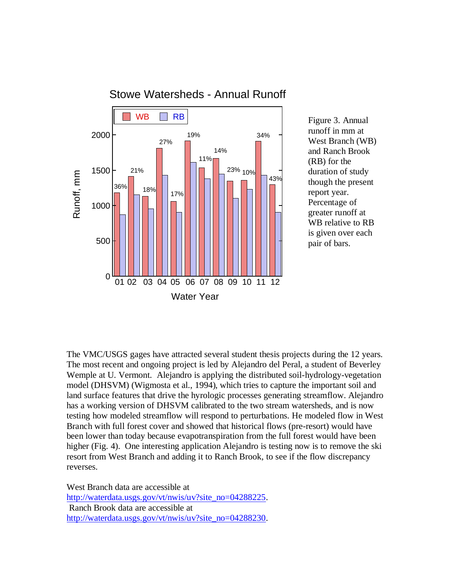

Figure 3. Annual runoff in mm at West Branch (WB) and Ranch Brook (RB) for the duration of study though the present report year. Percentage of greater runoff at WB relative to RB is given over each pair of bars.

The VMC/USGS gages have attracted several student thesis projects during the 12 years. The most recent and ongoing project is led by Alejandro del Peral, a student of Beverley Wemple at U. Vermont. Alejandro is applying the distributed soil-hydrology-vegetation model (DHSVM) (Wigmosta et al., 1994), which tries to capture the important soil and land surface features that drive the hyrologic processes generating streamflow. Alejandro has a working version of DHSVM calibrated to the two stream watersheds, and is now testing how modeled streamflow will respond to perturbations. He modeled flow in West Branch with full forest cover and showed that historical flows (pre-resort) would have been lower than today because evapotranspiration from the full forest would have been higher (Fig. 4). One interesting application Alejandro is testing now is to remove the ski resort from West Branch and adding it to Ranch Brook, to see if the flow discrepancy reverses.

West Branch data are accessible at [http://waterdata.usgs.gov/vt/nwis/uv?site\\_no=04288225.](http://waterdata.usgs.gov/vt/nwis/uv?site_no=04288225) Ranch Brook data are accessible at [http://waterdata.usgs.gov/vt/nwis/uv?site\\_no=04288230.](http://waterdata.usgs.gov/vt/nwis/uv?site_no=04288230)